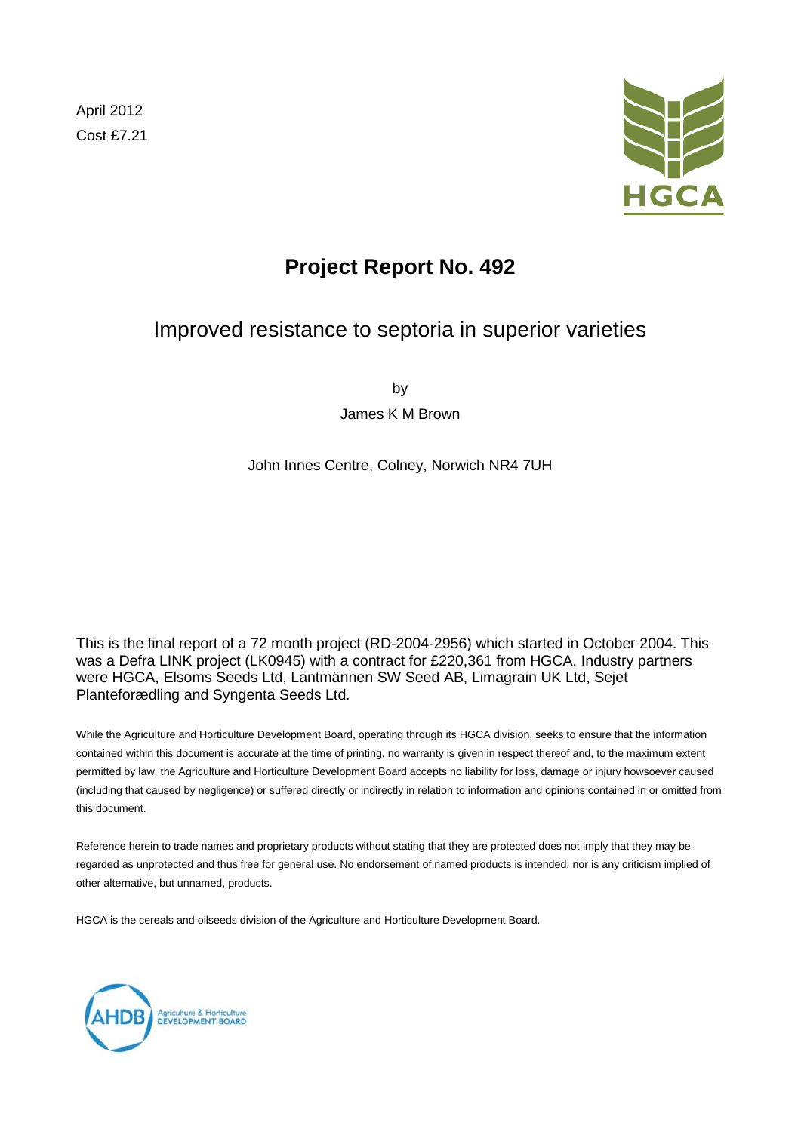April 2012 Cost £7.21



# **Project Report No. 492**

# Improved resistance to septoria in superior varieties

by

James K M Brown

John Innes Centre, Colney, Norwich NR4 7UH

This is the final report of a 72 month project (RD-2004-2956) which started in October 2004. This was a Defra LINK project (LK0945) with a contract for £220,361 from HGCA. Industry partners were HGCA, Elsoms Seeds Ltd, Lantmännen SW Seed AB, Limagrain UK Ltd, Sejet Planteforædling and Syngenta Seeds Ltd.

While the Agriculture and Horticulture Development Board, operating through its HGCA division, seeks to ensure that the information contained within this document is accurate at the time of printing, no warranty is given in respect thereof and, to the maximum extent permitted by law, the Agriculture and Horticulture Development Board accepts no liability for loss, damage or injury howsoever caused (including that caused by negligence) or suffered directly or indirectly in relation to information and opinions contained in or omitted from this document.

Reference herein to trade names and proprietary products without stating that they are protected does not imply that they may be regarded as unprotected and thus free for general use. No endorsement of named products is intended, nor is any criticism implied of other alternative, but unnamed, products.

HGCA is the cereals and oilseeds division of the Agriculture and Horticulture Development Board.

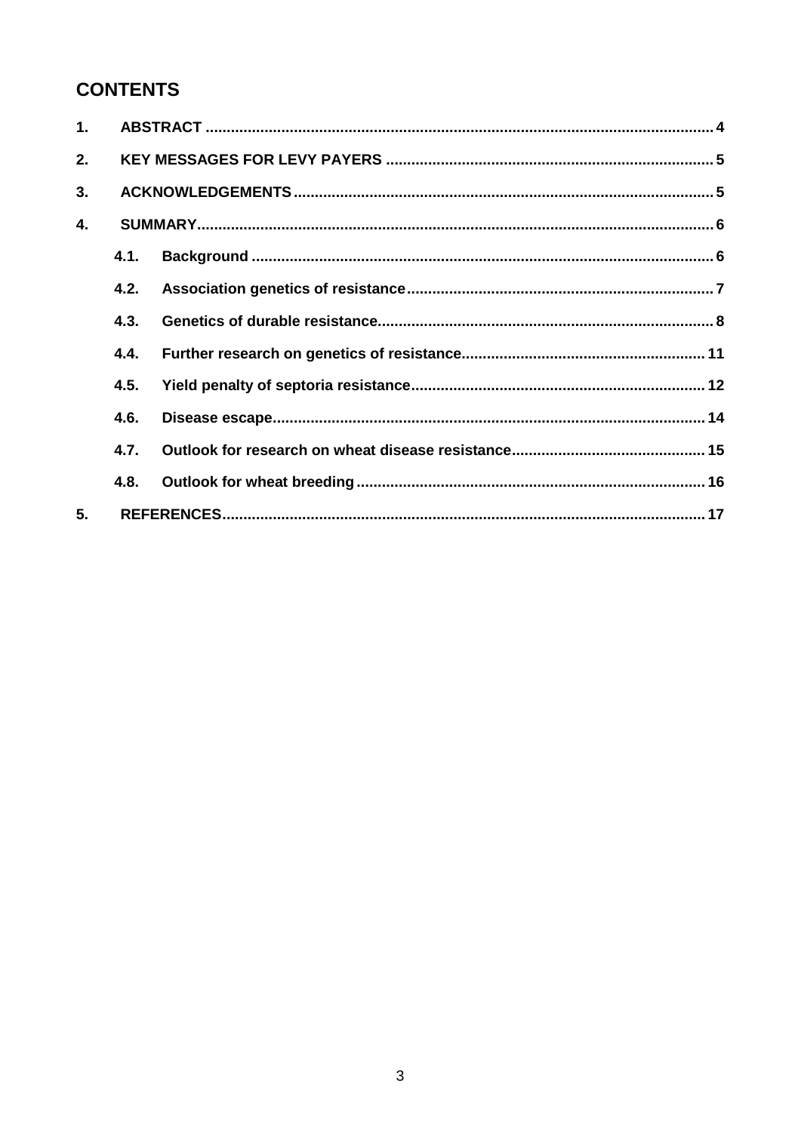# **CONTENTS**

| 1. |      |  |  |
|----|------|--|--|
| 2. |      |  |  |
| 3. |      |  |  |
| 4. |      |  |  |
|    | 4.1. |  |  |
|    | 4.2. |  |  |
|    | 4.3. |  |  |
|    | 4.4. |  |  |
|    | 4.5. |  |  |
|    | 4.6. |  |  |
|    | 4.7. |  |  |
|    | 4.8. |  |  |
| 5. |      |  |  |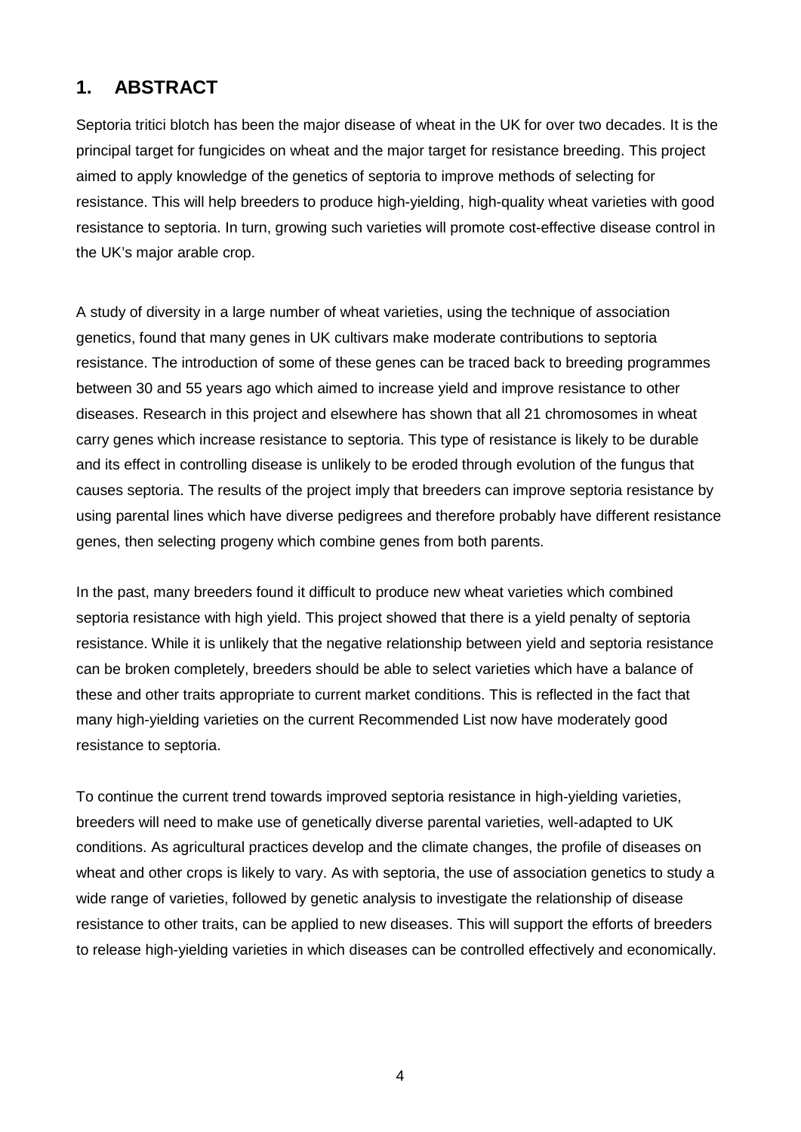### **1. ABSTRACT**

Septoria tritici blotch has been the major disease of wheat in the UK for over two decades. It is the principal target for fungicides on wheat and the major target for resistance breeding. This project aimed to apply knowledge of the genetics of septoria to improve methods of selecting for resistance. This will help breeders to produce high-yielding, high-quality wheat varieties with good resistance to septoria. In turn, growing such varieties will promote cost-effective disease control in the UK's major arable crop.

A study of diversity in a large number of wheat varieties, using the technique of association genetics, found that many genes in UK cultivars make moderate contributions to septoria resistance. The introduction of some of these genes can be traced back to breeding programmes between 30 and 55 years ago which aimed to increase yield and improve resistance to other diseases. Research in this project and elsewhere has shown that all 21 chromosomes in wheat carry genes which increase resistance to septoria. This type of resistance is likely to be durable and its effect in controlling disease is unlikely to be eroded through evolution of the fungus that causes septoria. The results of the project imply that breeders can improve septoria resistance by using parental lines which have diverse pedigrees and therefore probably have different resistance genes, then selecting progeny which combine genes from both parents.

In the past, many breeders found it difficult to produce new wheat varieties which combined septoria resistance with high yield. This project showed that there is a yield penalty of septoria resistance. While it is unlikely that the negative relationship between yield and septoria resistance can be broken completely, breeders should be able to select varieties which have a balance of these and other traits appropriate to current market conditions. This is reflected in the fact that many high-yielding varieties on the current Recommended List now have moderately good resistance to septoria.

To continue the current trend towards improved septoria resistance in high-yielding varieties, breeders will need to make use of genetically diverse parental varieties, well-adapted to UK conditions. As agricultural practices develop and the climate changes, the profile of diseases on wheat and other crops is likely to vary. As with septoria, the use of association genetics to study a wide range of varieties, followed by genetic analysis to investigate the relationship of disease resistance to other traits, can be applied to new diseases. This will support the efforts of breeders to release high-yielding varieties in which diseases can be controlled effectively and economically.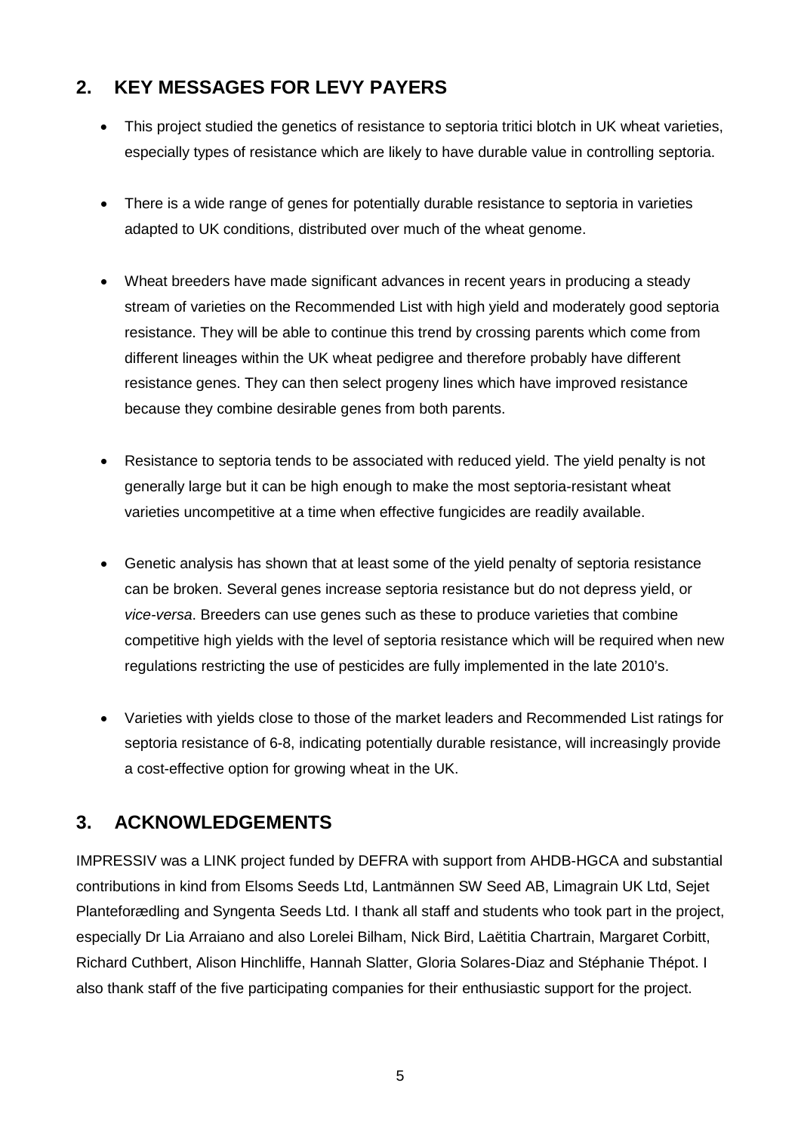# **2. KEY MESSAGES FOR LEVY PAYERS**

- This project studied the genetics of resistance to septoria tritici blotch in UK wheat varieties, especially types of resistance which are likely to have durable value in controlling septoria.
- There is a wide range of genes for potentially durable resistance to septoria in varieties adapted to UK conditions, distributed over much of the wheat genome.
- Wheat breeders have made significant advances in recent years in producing a steady stream of varieties on the Recommended List with high yield and moderately good septoria resistance. They will be able to continue this trend by crossing parents which come from different lineages within the UK wheat pedigree and therefore probably have different resistance genes. They can then select progeny lines which have improved resistance because they combine desirable genes from both parents.
- Resistance to septoria tends to be associated with reduced yield. The yield penalty is not generally large but it can be high enough to make the most septoria-resistant wheat varieties uncompetitive at a time when effective fungicides are readily available.
- Genetic analysis has shown that at least some of the yield penalty of septoria resistance can be broken. Several genes increase septoria resistance but do not depress yield, or *vice-versa*. Breeders can use genes such as these to produce varieties that combine competitive high yields with the level of septoria resistance which will be required when new regulations restricting the use of pesticides are fully implemented in the late 2010's.
- Varieties with yields close to those of the market leaders and Recommended List ratings for septoria resistance of 6-8, indicating potentially durable resistance, will increasingly provide a cost-effective option for growing wheat in the UK.

# **3. ACKNOWLEDGEMENTS**

IMPRESSIV was a LINK project funded by DEFRA with support from AHDB-HGCA and substantial contributions in kind from Elsoms Seeds Ltd, Lantmännen SW Seed AB, Limagrain UK Ltd, Sejet Planteforædling and Syngenta Seeds Ltd. I thank all staff and students who took part in the project, especially Dr Lia Arraiano and also Lorelei Bilham, Nick Bird, Laëtitia Chartrain, Margaret Corbitt, Richard Cuthbert, Alison Hinchliffe, Hannah Slatter, Gloria Solares-Diaz and Stéphanie Thépot. I also thank staff of the five participating companies for their enthusiastic support for the project.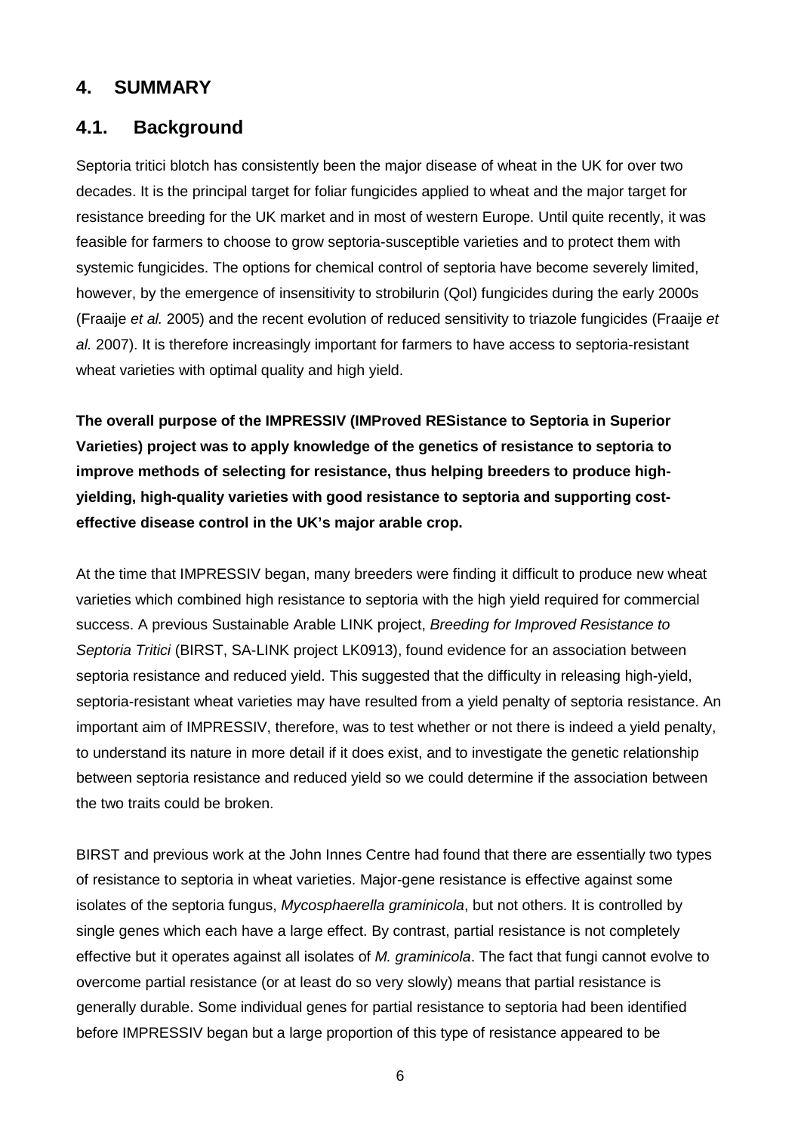### **4. SUMMARY**

### **4.1. Background**

Septoria tritici blotch has consistently been the major disease of wheat in the UK for over two decades. It is the principal target for foliar fungicides applied to wheat and the major target for resistance breeding for the UK market and in most of western Europe. Until quite recently, it was feasible for farmers to choose to grow septoria-susceptible varieties and to protect them with systemic fungicides. The options for chemical control of septoria have become severely limited, however, by the emergence of insensitivity to strobilurin (QoI) fungicides during the early 2000s (Fraaije *et al.* 2005) and the recent evolution of reduced sensitivity to triazole fungicides (Fraaije *et al.* 2007). It is therefore increasingly important for farmers to have access to septoria-resistant wheat varieties with optimal quality and high yield.

**The overall purpose of the IMPRESSIV (IMProved RESistance to Septoria in Superior Varieties) project was to apply knowledge of the genetics of resistance to septoria to improve methods of selecting for resistance, thus helping breeders to produce highyielding, high-quality varieties with good resistance to septoria and supporting costeffective disease control in the UK's major arable crop.**

At the time that IMPRESSIV began, many breeders were finding it difficult to produce new wheat varieties which combined high resistance to septoria with the high yield required for commercial success. A previous Sustainable Arable LINK project, *Breeding for Improved Resistance to Septoria Tritici* (BIRST, SA-LINK project LK0913), found evidence for an association between septoria resistance and reduced yield. This suggested that the difficulty in releasing high-yield, septoria-resistant wheat varieties may have resulted from a yield penalty of septoria resistance. An important aim of IMPRESSIV, therefore, was to test whether or not there is indeed a yield penalty, to understand its nature in more detail if it does exist, and to investigate the genetic relationship between septoria resistance and reduced yield so we could determine if the association between the two traits could be broken.

BIRST and previous work at the John Innes Centre had found that there are essentially two types of resistance to septoria in wheat varieties. Major-gene resistance is effective against some isolates of the septoria fungus, *Mycosphaerella graminicola*, but not others. It is controlled by single genes which each have a large effect. By contrast, partial resistance is not completely effective but it operates against all isolates of *M. graminicola*. The fact that fungi cannot evolve to overcome partial resistance (or at least do so very slowly) means that partial resistance is generally durable. Some individual genes for partial resistance to septoria had been identified before IMPRESSIV began but a large proportion of this type of resistance appeared to be

6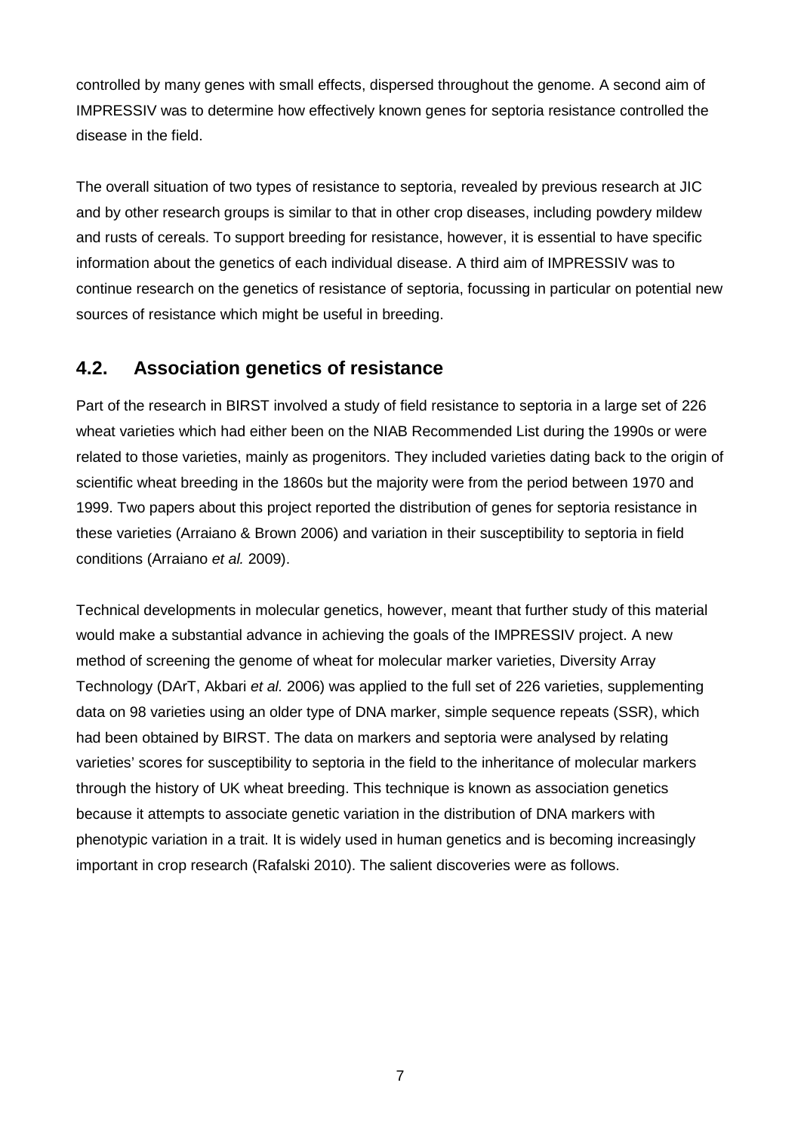controlled by many genes with small effects, dispersed throughout the genome. A second aim of IMPRESSIV was to determine how effectively known genes for septoria resistance controlled the disease in the field.

The overall situation of two types of resistance to septoria, revealed by previous research at JIC and by other research groups is similar to that in other crop diseases, including powdery mildew and rusts of cereals. To support breeding for resistance, however, it is essential to have specific information about the genetics of each individual disease. A third aim of IMPRESSIV was to continue research on the genetics of resistance of septoria, focussing in particular on potential new sources of resistance which might be useful in breeding.

### **4.2. Association genetics of resistance**

Part of the research in BIRST involved a study of field resistance to septoria in a large set of 226 wheat varieties which had either been on the NIAB Recommended List during the 1990s or were related to those varieties, mainly as progenitors. They included varieties dating back to the origin of scientific wheat breeding in the 1860s but the majority were from the period between 1970 and 1999. Two papers about this project reported the distribution of genes for septoria resistance in these varieties (Arraiano & Brown 2006) and variation in their susceptibility to septoria in field conditions (Arraiano *et al.* 2009).

Technical developments in molecular genetics, however, meant that further study of this material would make a substantial advance in achieving the goals of the IMPRESSIV project. A new method of screening the genome of wheat for molecular marker varieties, Diversity Array Technology (DArT, Akbari *et al.* 2006) was applied to the full set of 226 varieties, supplementing data on 98 varieties using an older type of DNA marker, simple sequence repeats (SSR), which had been obtained by BIRST. The data on markers and septoria were analysed by relating varieties' scores for susceptibility to septoria in the field to the inheritance of molecular markers through the history of UK wheat breeding. This technique is known as association genetics because it attempts to associate genetic variation in the distribution of DNA markers with phenotypic variation in a trait. It is widely used in human genetics and is becoming increasingly important in crop research (Rafalski 2010). The salient discoveries were as follows.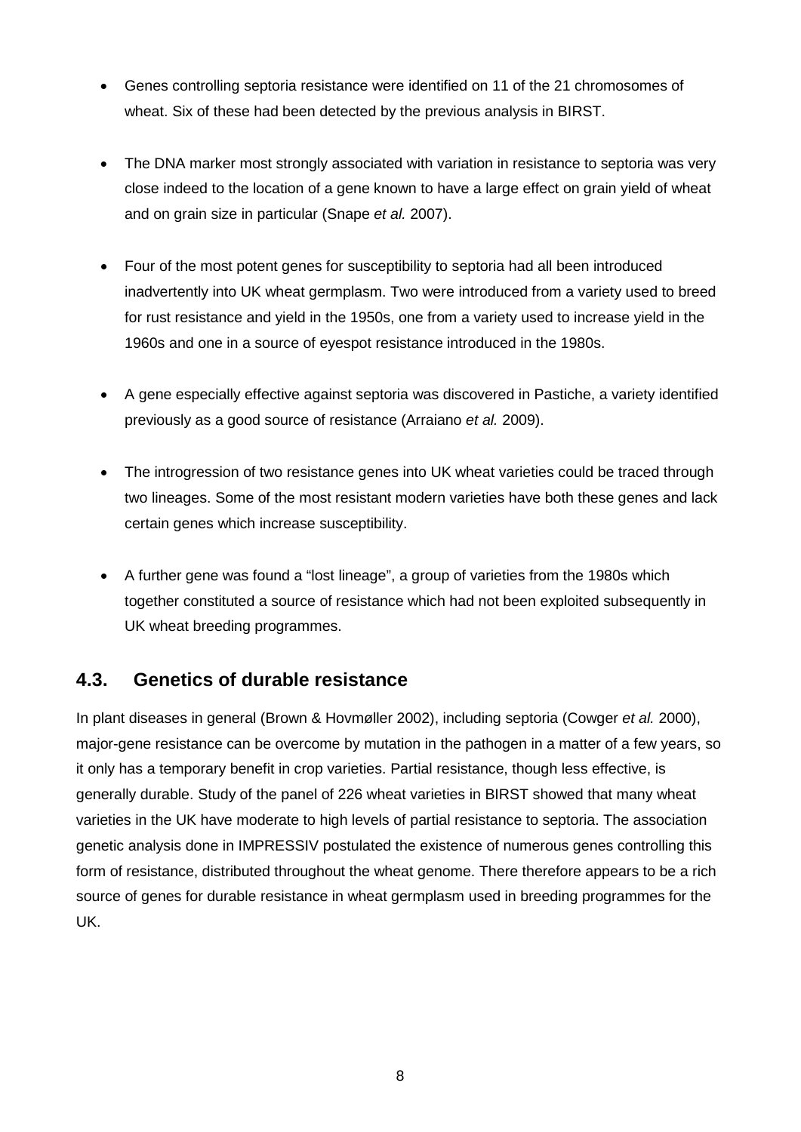- Genes controlling septoria resistance were identified on 11 of the 21 chromosomes of wheat. Six of these had been detected by the previous analysis in BIRST.
- The DNA marker most strongly associated with variation in resistance to septoria was very close indeed to the location of a gene known to have a large effect on grain yield of wheat and on grain size in particular (Snape *et al.* 2007).
- Four of the most potent genes for susceptibility to septoria had all been introduced inadvertently into UK wheat germplasm. Two were introduced from a variety used to breed for rust resistance and yield in the 1950s, one from a variety used to increase yield in the 1960s and one in a source of eyespot resistance introduced in the 1980s.
- A gene especially effective against septoria was discovered in Pastiche, a variety identified previously as a good source of resistance (Arraiano *et al.* 2009).
- The introgression of two resistance genes into UK wheat varieties could be traced through two lineages. Some of the most resistant modern varieties have both these genes and lack certain genes which increase susceptibility.
- A further gene was found a "lost lineage", a group of varieties from the 1980s which together constituted a source of resistance which had not been exploited subsequently in UK wheat breeding programmes.

#### **4.3. Genetics of durable resistance**

In plant diseases in general (Brown & Hovmøller 2002), including septoria (Cowger *et al.* 2000), major-gene resistance can be overcome by mutation in the pathogen in a matter of a few years, so it only has a temporary benefit in crop varieties. Partial resistance, though less effective, is generally durable. Study of the panel of 226 wheat varieties in BIRST showed that many wheat varieties in the UK have moderate to high levels of partial resistance to septoria. The association genetic analysis done in IMPRESSIV postulated the existence of numerous genes controlling this form of resistance, distributed throughout the wheat genome. There therefore appears to be a rich source of genes for durable resistance in wheat germplasm used in breeding programmes for the UK.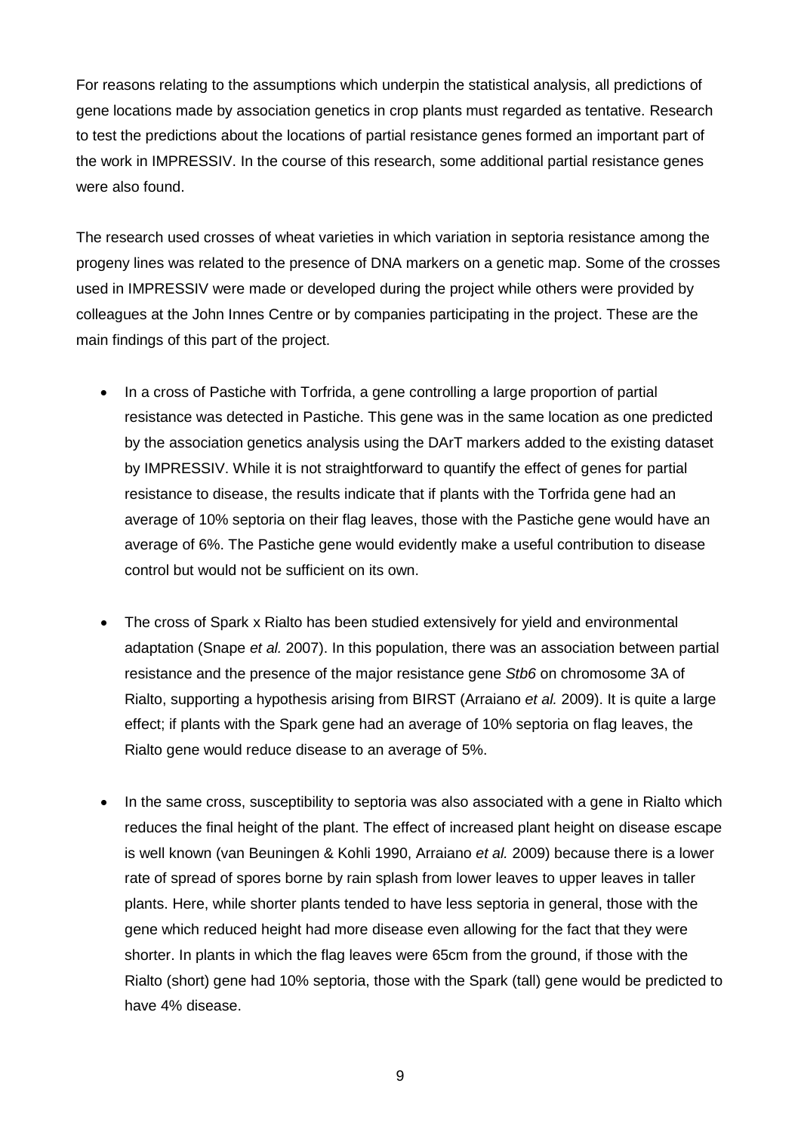For reasons relating to the assumptions which underpin the statistical analysis, all predictions of gene locations made by association genetics in crop plants must regarded as tentative. Research to test the predictions about the locations of partial resistance genes formed an important part of the work in IMPRESSIV. In the course of this research, some additional partial resistance genes were also found.

The research used crosses of wheat varieties in which variation in septoria resistance among the progeny lines was related to the presence of DNA markers on a genetic map. Some of the crosses used in IMPRESSIV were made or developed during the project while others were provided by colleagues at the John Innes Centre or by companies participating in the project. These are the main findings of this part of the project.

- In a cross of Pastiche with Torfrida, a gene controlling a large proportion of partial resistance was detected in Pastiche. This gene was in the same location as one predicted by the association genetics analysis using the DArT markers added to the existing dataset by IMPRESSIV. While it is not straightforward to quantify the effect of genes for partial resistance to disease, the results indicate that if plants with the Torfrida gene had an average of 10% septoria on their flag leaves, those with the Pastiche gene would have an average of 6%. The Pastiche gene would evidently make a useful contribution to disease control but would not be sufficient on its own.
- The cross of Spark x Rialto has been studied extensively for yield and environmental adaptation (Snape *et al.* 2007). In this population, there was an association between partial resistance and the presence of the major resistance gene *Stb6* on chromosome 3A of Rialto, supporting a hypothesis arising from BIRST (Arraiano *et al.* 2009). It is quite a large effect; if plants with the Spark gene had an average of 10% septoria on flag leaves, the Rialto gene would reduce disease to an average of 5%.
- In the same cross, susceptibility to septoria was also associated with a gene in Rialto which reduces the final height of the plant. The effect of increased plant height on disease escape is well known (van Beuningen & Kohli 1990, Arraiano *et al.* 2009) because there is a lower rate of spread of spores borne by rain splash from lower leaves to upper leaves in taller plants. Here, while shorter plants tended to have less septoria in general, those with the gene which reduced height had more disease even allowing for the fact that they were shorter. In plants in which the flag leaves were 65cm from the ground, if those with the Rialto (short) gene had 10% septoria, those with the Spark (tall) gene would be predicted to have 4% disease.

9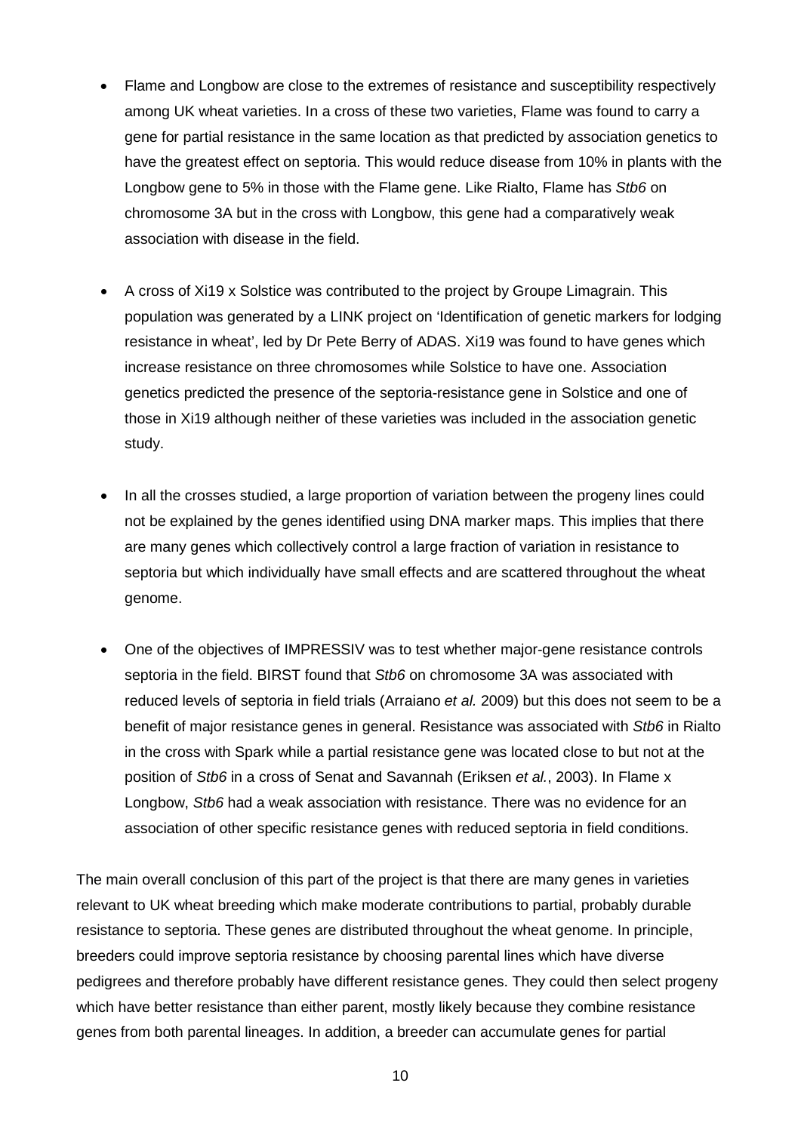- Flame and Longbow are close to the extremes of resistance and susceptibility respectively among UK wheat varieties. In a cross of these two varieties, Flame was found to carry a gene for partial resistance in the same location as that predicted by association genetics to have the greatest effect on septoria. This would reduce disease from 10% in plants with the Longbow gene to 5% in those with the Flame gene. Like Rialto, Flame has *Stb6* on chromosome 3A but in the cross with Longbow, this gene had a comparatively weak association with disease in the field.
- A cross of Xi19 x Solstice was contributed to the project by Groupe Limagrain. This population was generated by a LINK project on 'Identification of genetic markers for lodging resistance in wheat', led by Dr Pete Berry of ADAS. Xi19 was found to have genes which increase resistance on three chromosomes while Solstice to have one. Association genetics predicted the presence of the septoria-resistance gene in Solstice and one of those in Xi19 although neither of these varieties was included in the association genetic study.
- In all the crosses studied, a large proportion of variation between the progeny lines could not be explained by the genes identified using DNA marker maps. This implies that there are many genes which collectively control a large fraction of variation in resistance to septoria but which individually have small effects and are scattered throughout the wheat genome.
- One of the objectives of IMPRESSIV was to test whether major-gene resistance controls septoria in the field. BIRST found that *Stb6* on chromosome 3A was associated with reduced levels of septoria in field trials (Arraiano *et al.* 2009) but this does not seem to be a benefit of major resistance genes in general. Resistance was associated with *Stb6* in Rialto in the cross with Spark while a partial resistance gene was located close to but not at the position of *Stb6* in a cross of Senat and Savannah (Eriksen *et al.*, 2003). In Flame x Longbow, *Stb6* had a weak association with resistance. There was no evidence for an association of other specific resistance genes with reduced septoria in field conditions.

The main overall conclusion of this part of the project is that there are many genes in varieties relevant to UK wheat breeding which make moderate contributions to partial, probably durable resistance to septoria. These genes are distributed throughout the wheat genome. In principle, breeders could improve septoria resistance by choosing parental lines which have diverse pedigrees and therefore probably have different resistance genes. They could then select progeny which have better resistance than either parent, mostly likely because they combine resistance genes from both parental lineages. In addition, a breeder can accumulate genes for partial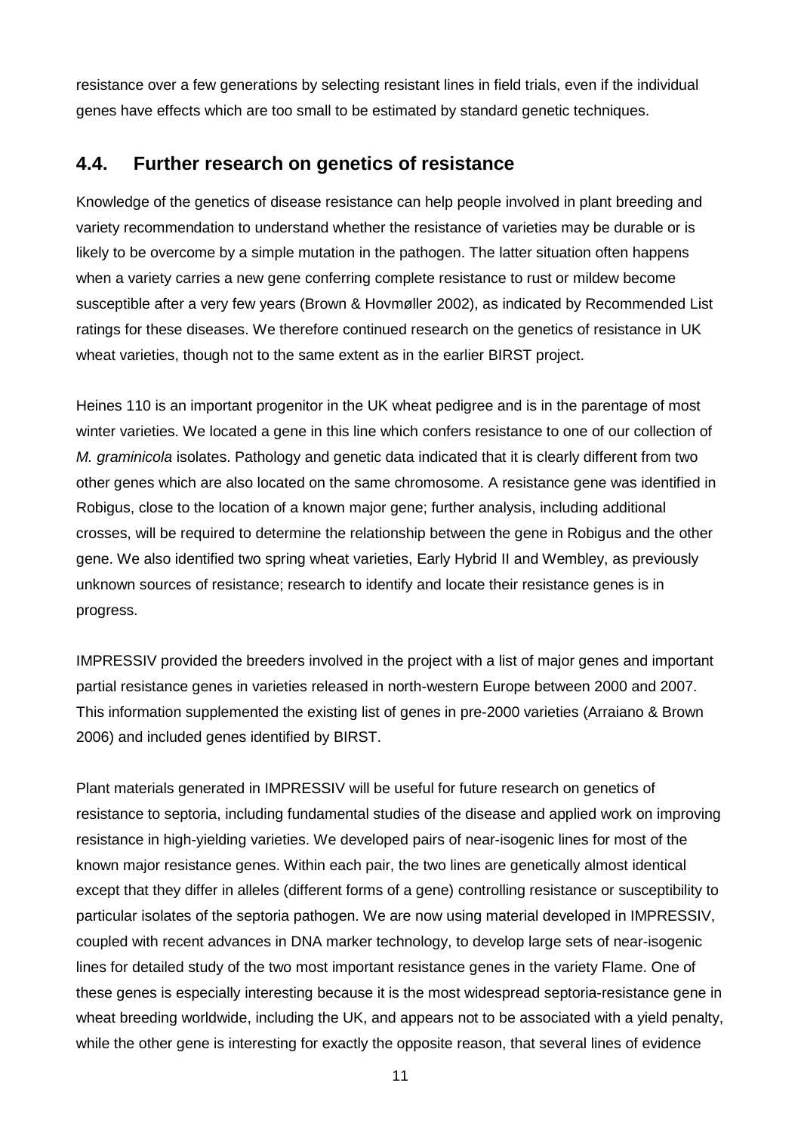resistance over a few generations by selecting resistant lines in field trials, even if the individual genes have effects which are too small to be estimated by standard genetic techniques.

#### **4.4. Further research on genetics of resistance**

Knowledge of the genetics of disease resistance can help people involved in plant breeding and variety recommendation to understand whether the resistance of varieties may be durable or is likely to be overcome by a simple mutation in the pathogen. The latter situation often happens when a variety carries a new gene conferring complete resistance to rust or mildew become susceptible after a very few years (Brown & Hovmøller 2002), as indicated by Recommended List ratings for these diseases. We therefore continued research on the genetics of resistance in UK wheat varieties, though not to the same extent as in the earlier BIRST project.

Heines 110 is an important progenitor in the UK wheat pedigree and is in the parentage of most winter varieties. We located a gene in this line which confers resistance to one of our collection of *M. graminicola* isolates. Pathology and genetic data indicated that it is clearly different from two other genes which are also located on the same chromosome. A resistance gene was identified in Robigus, close to the location of a known major gene; further analysis, including additional crosses, will be required to determine the relationship between the gene in Robigus and the other gene. We also identified two spring wheat varieties, Early Hybrid II and Wembley, as previously unknown sources of resistance; research to identify and locate their resistance genes is in progress.

IMPRESSIV provided the breeders involved in the project with a list of major genes and important partial resistance genes in varieties released in north-western Europe between 2000 and 2007. This information supplemented the existing list of genes in pre-2000 varieties (Arraiano & Brown 2006) and included genes identified by BIRST.

Plant materials generated in IMPRESSIV will be useful for future research on genetics of resistance to septoria, including fundamental studies of the disease and applied work on improving resistance in high-yielding varieties. We developed pairs of near-isogenic lines for most of the known major resistance genes. Within each pair, the two lines are genetically almost identical except that they differ in alleles (different forms of a gene) controlling resistance or susceptibility to particular isolates of the septoria pathogen. We are now using material developed in IMPRESSIV, coupled with recent advances in DNA marker technology, to develop large sets of near-isogenic lines for detailed study of the two most important resistance genes in the variety Flame. One of these genes is especially interesting because it is the most widespread septoria-resistance gene in wheat breeding worldwide, including the UK, and appears not to be associated with a yield penalty, while the other gene is interesting for exactly the opposite reason, that several lines of evidence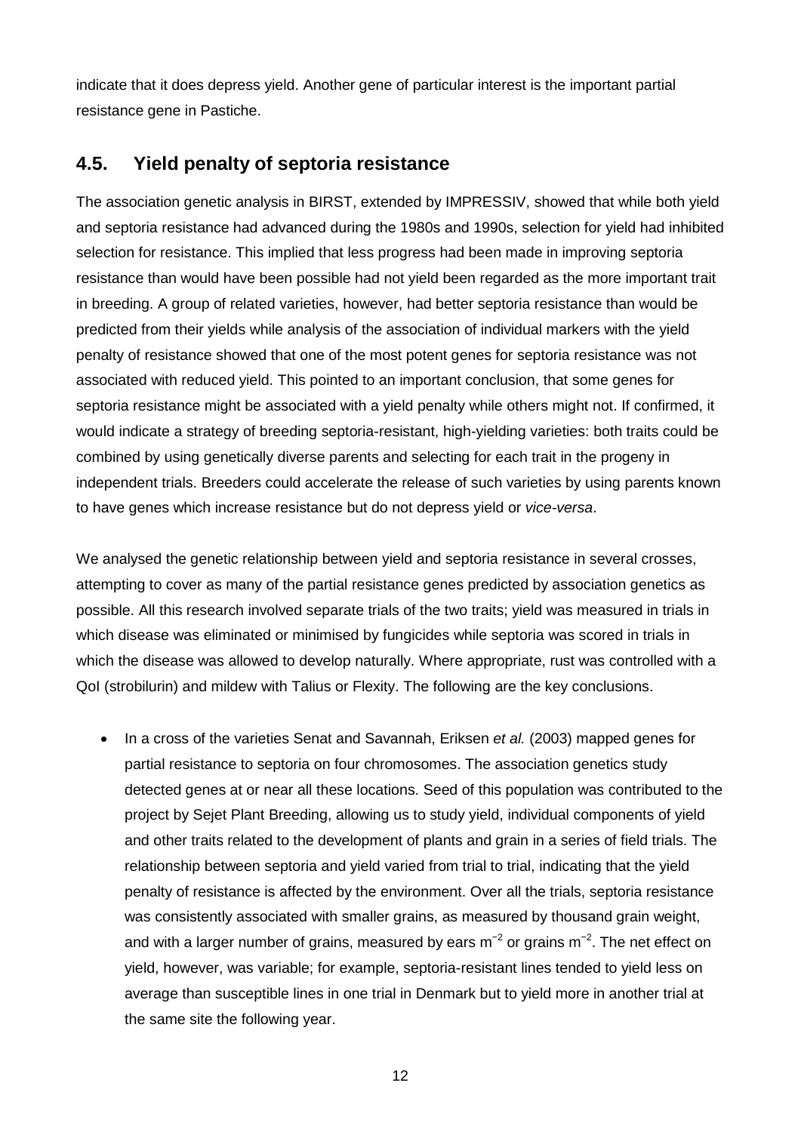indicate that it does depress yield. Another gene of particular interest is the important partial resistance gene in Pastiche.

#### **4.5. Yield penalty of septoria resistance**

The association genetic analysis in BIRST, extended by IMPRESSIV, showed that while both yield and septoria resistance had advanced during the 1980s and 1990s, selection for yield had inhibited selection for resistance. This implied that less progress had been made in improving septoria resistance than would have been possible had not yield been regarded as the more important trait in breeding. A group of related varieties, however, had better septoria resistance than would be predicted from their yields while analysis of the association of individual markers with the yield penalty of resistance showed that one of the most potent genes for septoria resistance was not associated with reduced yield. This pointed to an important conclusion, that some genes for septoria resistance might be associated with a yield penalty while others might not. If confirmed, it would indicate a strategy of breeding septoria-resistant, high-yielding varieties: both traits could be combined by using genetically diverse parents and selecting for each trait in the progeny in independent trials. Breeders could accelerate the release of such varieties by using parents known to have genes which increase resistance but do not depress yield or *vice-versa*.

We analysed the genetic relationship between yield and septoria resistance in several crosses, attempting to cover as many of the partial resistance genes predicted by association genetics as possible. All this research involved separate trials of the two traits; yield was measured in trials in which disease was eliminated or minimised by fungicides while septoria was scored in trials in which the disease was allowed to develop naturally. Where appropriate, rust was controlled with a QoI (strobilurin) and mildew with Talius or Flexity. The following are the key conclusions.

• In a cross of the varieties Senat and Savannah, Eriksen *et al.* (2003) mapped genes for partial resistance to septoria on four chromosomes. The association genetics study detected genes at or near all these locations. Seed of this population was contributed to the project by Sejet Plant Breeding, allowing us to study yield, individual components of yield and other traits related to the development of plants and grain in a series of field trials. The relationship between septoria and yield varied from trial to trial, indicating that the yield penalty of resistance is affected by the environment. Over all the trials, septoria resistance was consistently associated with smaller grains, as measured by thousand grain weight, and with a larger number of grains, measured by ears m<sup>-2</sup> or grains m<sup>-2</sup>. The net effect on yield, however, was variable; for example, septoria-resistant lines tended to yield less on average than susceptible lines in one trial in Denmark but to yield more in another trial at the same site the following year.

12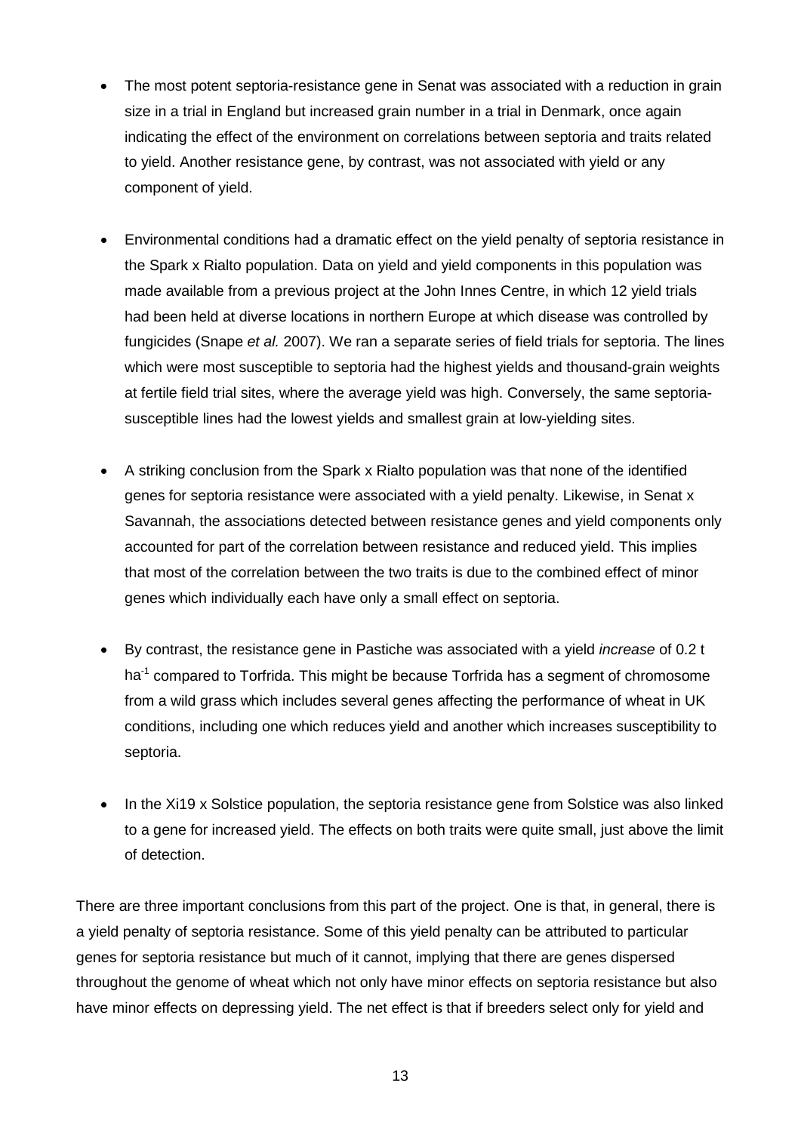- The most potent septoria-resistance gene in Senat was associated with a reduction in grain size in a trial in England but increased grain number in a trial in Denmark, once again indicating the effect of the environment on correlations between septoria and traits related to yield. Another resistance gene, by contrast, was not associated with yield or any component of yield.
- Environmental conditions had a dramatic effect on the yield penalty of septoria resistance in the Spark x Rialto population. Data on yield and yield components in this population was made available from a previous project at the John Innes Centre, in which 12 yield trials had been held at diverse locations in northern Europe at which disease was controlled by fungicides (Snape *et al.* 2007). We ran a separate series of field trials for septoria. The lines which were most susceptible to septoria had the highest yields and thousand-grain weights at fertile field trial sites, where the average yield was high. Conversely, the same septoriasusceptible lines had the lowest yields and smallest grain at low-yielding sites.
- A striking conclusion from the Spark x Rialto population was that none of the identified genes for septoria resistance were associated with a yield penalty. Likewise, in Senat x Savannah, the associations detected between resistance genes and yield components only accounted for part of the correlation between resistance and reduced yield. This implies that most of the correlation between the two traits is due to the combined effect of minor genes which individually each have only a small effect on septoria.
- By contrast, the resistance gene in Pastiche was associated with a yield *increase* of 0.2 t ha<sup>-1</sup> compared to Torfrida. This might be because Torfrida has a segment of chromosome from a wild grass which includes several genes affecting the performance of wheat in UK conditions, including one which reduces yield and another which increases susceptibility to septoria.
- In the Xi19 x Solstice population, the septoria resistance gene from Solstice was also linked to a gene for increased yield. The effects on both traits were quite small, just above the limit of detection.

There are three important conclusions from this part of the project. One is that, in general, there is a yield penalty of septoria resistance. Some of this yield penalty can be attributed to particular genes for septoria resistance but much of it cannot, implying that there are genes dispersed throughout the genome of wheat which not only have minor effects on septoria resistance but also have minor effects on depressing yield. The net effect is that if breeders select only for yield and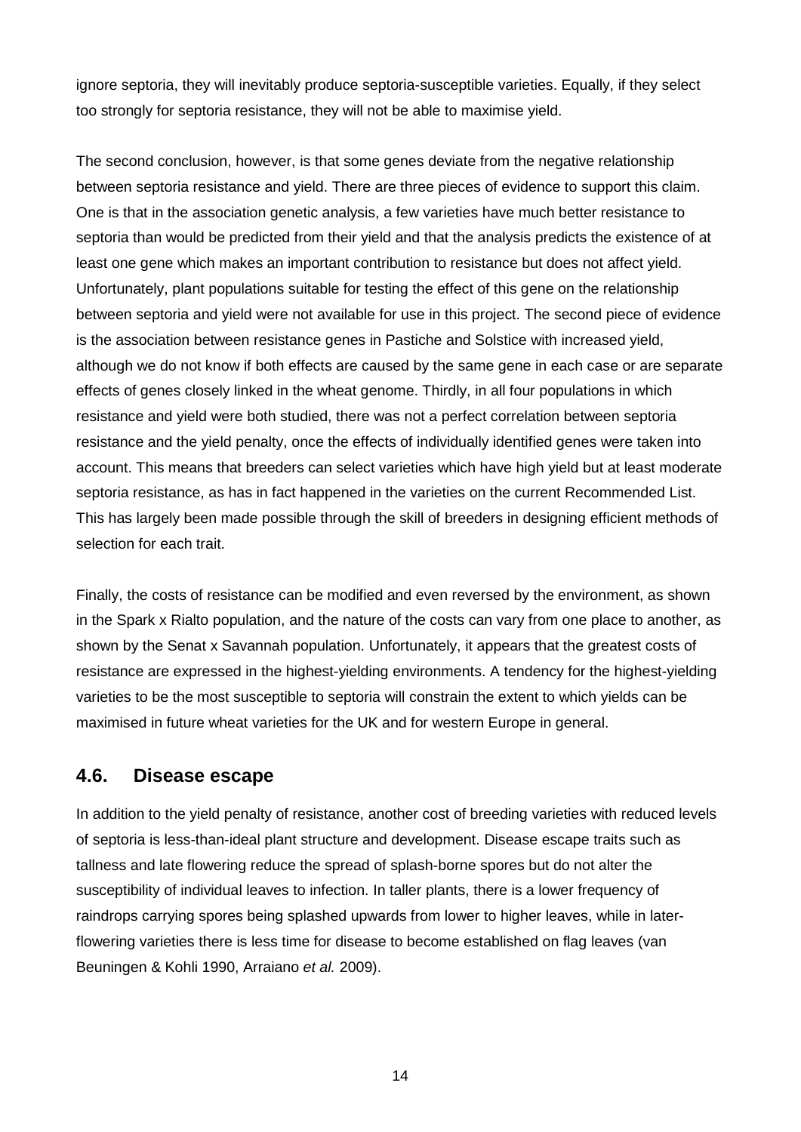ignore septoria, they will inevitably produce septoria-susceptible varieties. Equally, if they select too strongly for septoria resistance, they will not be able to maximise yield.

The second conclusion, however, is that some genes deviate from the negative relationship between septoria resistance and yield. There are three pieces of evidence to support this claim. One is that in the association genetic analysis, a few varieties have much better resistance to septoria than would be predicted from their yield and that the analysis predicts the existence of at least one gene which makes an important contribution to resistance but does not affect yield. Unfortunately, plant populations suitable for testing the effect of this gene on the relationship between septoria and yield were not available for use in this project. The second piece of evidence is the association between resistance genes in Pastiche and Solstice with increased yield, although we do not know if both effects are caused by the same gene in each case or are separate effects of genes closely linked in the wheat genome. Thirdly, in all four populations in which resistance and yield were both studied, there was not a perfect correlation between septoria resistance and the yield penalty, once the effects of individually identified genes were taken into account. This means that breeders can select varieties which have high yield but at least moderate septoria resistance, as has in fact happened in the varieties on the current Recommended List. This has largely been made possible through the skill of breeders in designing efficient methods of selection for each trait.

Finally, the costs of resistance can be modified and even reversed by the environment, as shown in the Spark x Rialto population, and the nature of the costs can vary from one place to another, as shown by the Senat x Savannah population. Unfortunately, it appears that the greatest costs of resistance are expressed in the highest-yielding environments. A tendency for the highest-yielding varieties to be the most susceptible to septoria will constrain the extent to which yields can be maximised in future wheat varieties for the UK and for western Europe in general.

#### **4.6. Disease escape**

In addition to the yield penalty of resistance, another cost of breeding varieties with reduced levels of septoria is less-than-ideal plant structure and development. Disease escape traits such as tallness and late flowering reduce the spread of splash-borne spores but do not alter the susceptibility of individual leaves to infection. In taller plants, there is a lower frequency of raindrops carrying spores being splashed upwards from lower to higher leaves, while in laterflowering varieties there is less time for disease to become established on flag leaves (van Beuningen & Kohli 1990, Arraiano *et al.* 2009).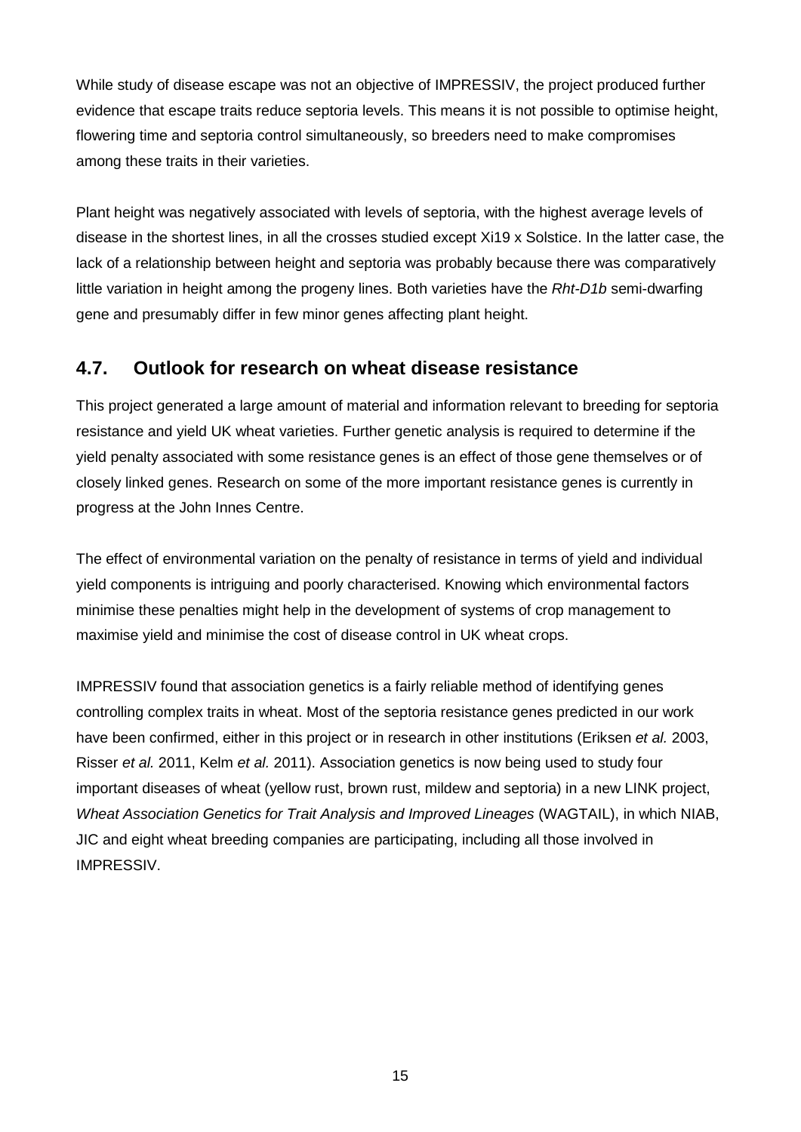While study of disease escape was not an objective of IMPRESSIV, the project produced further evidence that escape traits reduce septoria levels. This means it is not possible to optimise height, flowering time and septoria control simultaneously, so breeders need to make compromises among these traits in their varieties.

Plant height was negatively associated with levels of septoria, with the highest average levels of disease in the shortest lines, in all the crosses studied except Xi19 x Solstice. In the latter case, the lack of a relationship between height and septoria was probably because there was comparatively little variation in height among the progeny lines. Both varieties have the *Rht-D1b* semi-dwarfing gene and presumably differ in few minor genes affecting plant height.

### **4.7. Outlook for research on wheat disease resistance**

This project generated a large amount of material and information relevant to breeding for septoria resistance and yield UK wheat varieties. Further genetic analysis is required to determine if the yield penalty associated with some resistance genes is an effect of those gene themselves or of closely linked genes. Research on some of the more important resistance genes is currently in progress at the John Innes Centre.

The effect of environmental variation on the penalty of resistance in terms of yield and individual yield components is intriguing and poorly characterised. Knowing which environmental factors minimise these penalties might help in the development of systems of crop management to maximise yield and minimise the cost of disease control in UK wheat crops.

IMPRESSIV found that association genetics is a fairly reliable method of identifying genes controlling complex traits in wheat. Most of the septoria resistance genes predicted in our work have been confirmed, either in this project or in research in other institutions (Eriksen *et al.* 2003, Risser *et al.* 2011, Kelm *et al.* 2011). Association genetics is now being used to study four important diseases of wheat (yellow rust, brown rust, mildew and septoria) in a new LINK project, *Wheat Association Genetics for Trait Analysis and Improved Lineages* (WAGTAIL), in which NIAB, JIC and eight wheat breeding companies are participating, including all those involved in IMPRESSIV.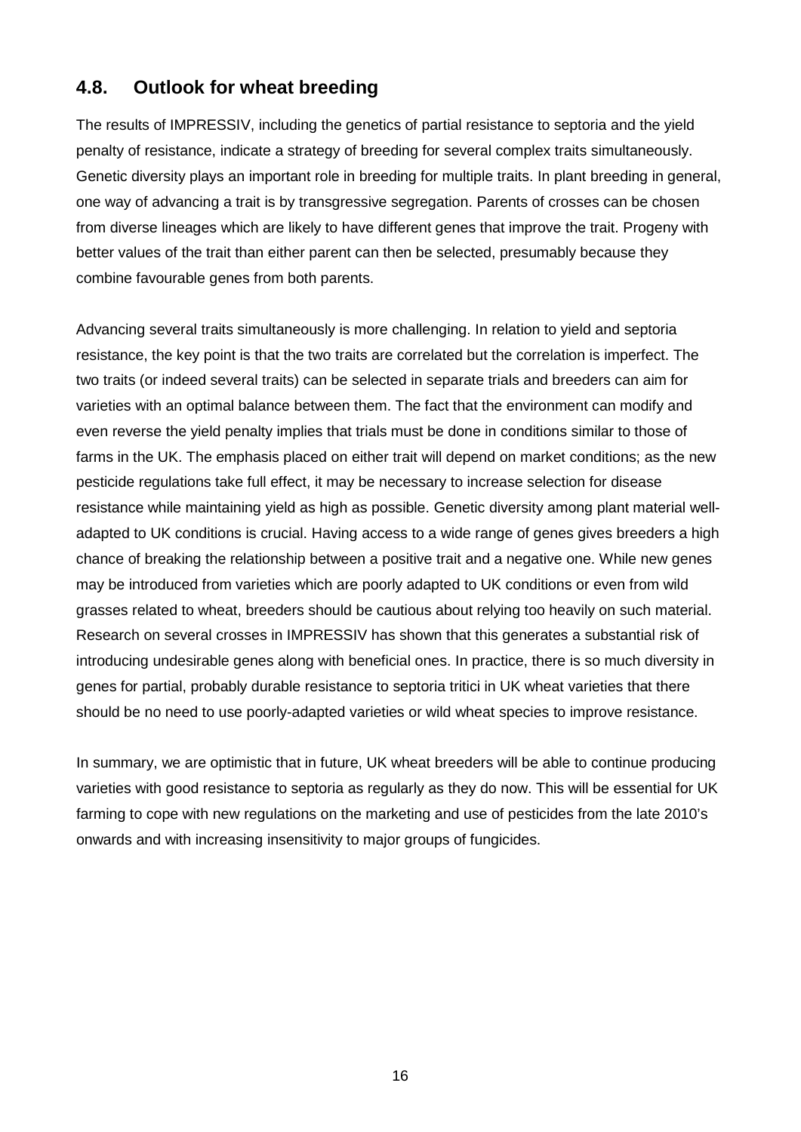### **4.8. Outlook for wheat breeding**

The results of IMPRESSIV, including the genetics of partial resistance to septoria and the yield penalty of resistance, indicate a strategy of breeding for several complex traits simultaneously. Genetic diversity plays an important role in breeding for multiple traits. In plant breeding in general, one way of advancing a trait is by transgressive segregation. Parents of crosses can be chosen from diverse lineages which are likely to have different genes that improve the trait. Progeny with better values of the trait than either parent can then be selected, presumably because they combine favourable genes from both parents.

Advancing several traits simultaneously is more challenging. In relation to yield and septoria resistance, the key point is that the two traits are correlated but the correlation is imperfect. The two traits (or indeed several traits) can be selected in separate trials and breeders can aim for varieties with an optimal balance between them. The fact that the environment can modify and even reverse the yield penalty implies that trials must be done in conditions similar to those of farms in the UK. The emphasis placed on either trait will depend on market conditions; as the new pesticide regulations take full effect, it may be necessary to increase selection for disease resistance while maintaining yield as high as possible. Genetic diversity among plant material welladapted to UK conditions is crucial. Having access to a wide range of genes gives breeders a high chance of breaking the relationship between a positive trait and a negative one. While new genes may be introduced from varieties which are poorly adapted to UK conditions or even from wild grasses related to wheat, breeders should be cautious about relying too heavily on such material. Research on several crosses in IMPRESSIV has shown that this generates a substantial risk of introducing undesirable genes along with beneficial ones. In practice, there is so much diversity in genes for partial, probably durable resistance to septoria tritici in UK wheat varieties that there should be no need to use poorly-adapted varieties or wild wheat species to improve resistance.

In summary, we are optimistic that in future, UK wheat breeders will be able to continue producing varieties with good resistance to septoria as regularly as they do now. This will be essential for UK farming to cope with new regulations on the marketing and use of pesticides from the late 2010's onwards and with increasing insensitivity to major groups of fungicides.